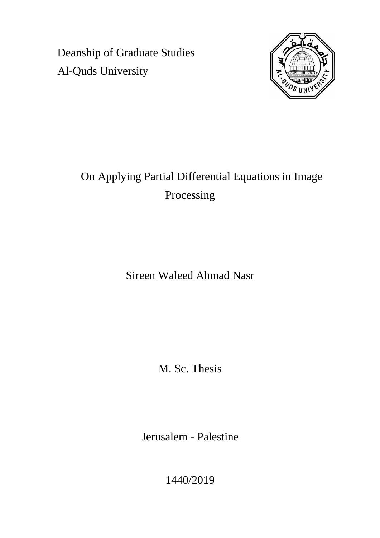Deanship of Graduate Studies Al-Quds University



# On Applying Partial Differential Equations in Image Processing

Sireen Waleed Ahmad Nasr

M. Sc. Thesis

Jerusalem - Palestine

1440/2019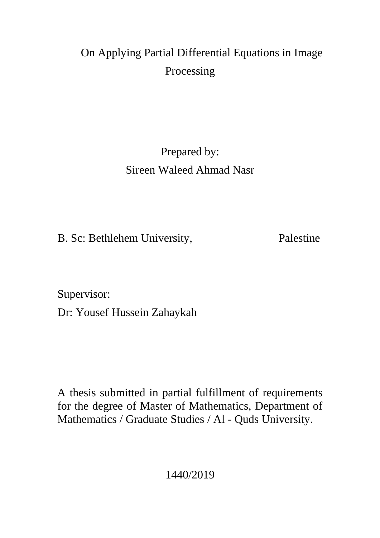# On Applying Partial Differential Equations in Image Processing

Prepared by: Sireen Waleed Ahmad Nasr

B. Sc: Bethlehem University, Palestine

Supervisor:

Dr: Yousef Hussein Zahaykah

A thesis submitted in partial fulfillment of requirements for the degree of Master of Mathematics, Department of Mathematics / Graduate Studies / Al - Quds University.

1440/2019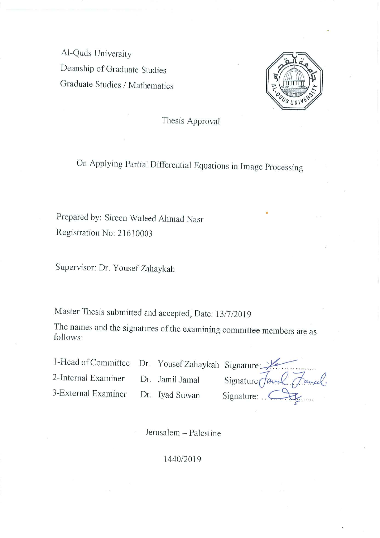Al-Quds University Deanship of Graduate Studies Graduate Studies / Mathematics



Thesis Approval

On Applying Partial Differential Equations in Image Processing

Prepared by: Sireen Waleed Ahmad Nasr Registration No: 21610003

Supervisor: Dr. Yousef Zahaykah

Master Thesis submitted and accepted, Date: 13/7/2019

The names and the signatures of the examining committee members are as follows:

1-Head of Committee

Dr. Yousef Zahaykah Signature

2-Internal Examiner

Dr. Jamil Jamal

3-External Examiner

Dr. Iyad Suwan

Signature Jamel Fancel. Signature: ...

Jerusalem - Palestine

#### 1440/2019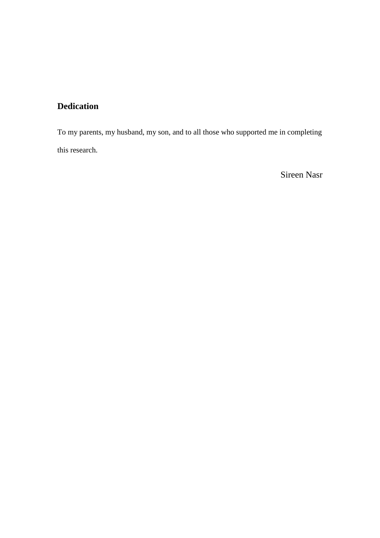# **Dedication**

To my parents, my husband, my son, and to all those who supported me in completing this research.

Sireen Nasr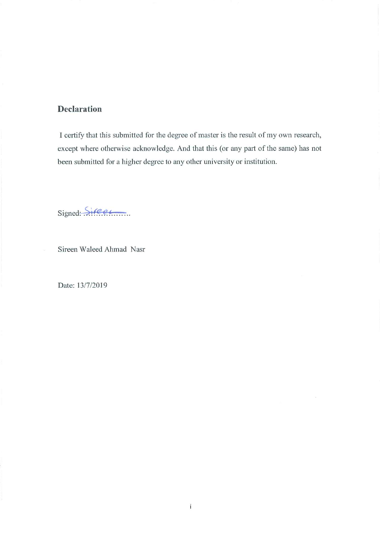## **Declaration**

I certify that this submitted for the degree of master is the result of my own research, except where otherwise acknowledge. And that this (or any part of the same) has not been submitted for a higher degree to any other university or institution.

Signed: Sireer

Sireen Waleed Ahmad Nasr

Date: 13/7/2019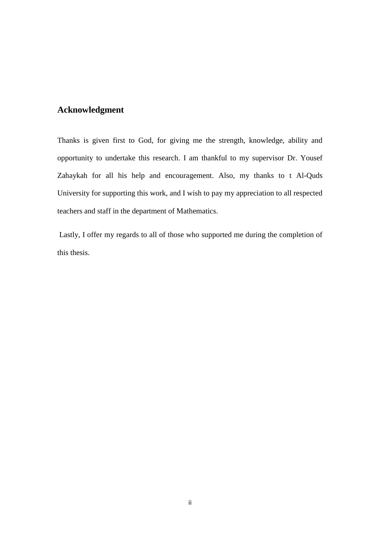### **Acknowledgment**

Thanks is given first to God, for giving me the strength, knowledge, ability and opportunity to undertake this research. I am thankful to my supervisor Dr. Yousef Zahaykah for all his help and encouragement. Also, my thanks to t Al-Quds University for supporting this work, and I wish to pay my appreciation to all respected teachers and staff in the department of Mathematics.

Lastly, I offer my regards to all of those who supported me during the completion of this thesis.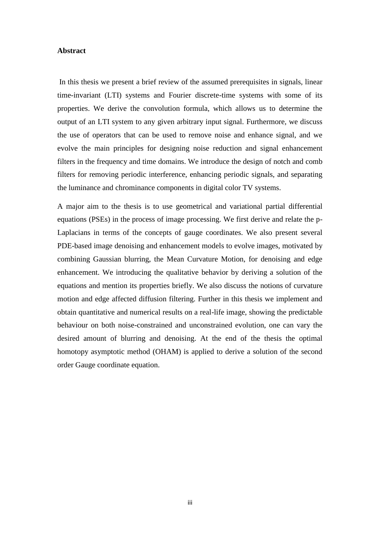#### **Abstract**

In this thesis we present a brief review of the assumed prerequisites in signals, linear time-invariant (LTI) systems and Fourier discrete-time systems with some of its properties. We derive the convolution formula, which allows us to determine the output of an LTI system to any given arbitrary input signal. Furthermore, we discuss the use of operators that can be used to remove noise and enhance signal, and we evolve the main principles for designing noise reduction and signal enhancement filters in the frequency and time domains. We introduce the design of notch and comb filters for removing periodic interference, enhancing periodic signals, and separating the luminance and chrominance components in digital color TV systems.

A major aim to the thesis is to use geometrical and variational partial differential equations (PSEs) in the process of image processing. We first derive and relate the p-Laplacians in terms of the concepts of gauge coordinates. We also present several PDE-based image denoising and enhancement models to evolve images, motivated by combining Gaussian blurring, the Mean Curvature Motion, for denoising and edge enhancement. We introducing the qualitative behavior by deriving a solution of the equations and mention its properties briefly. We also discuss the notions of curvature motion and edge affected diffusion filtering. Further in this thesis we implement and obtain quantitative and numerical results on a real-life image, showing the predictable behaviour on both noise-constrained and unconstrained evolution, one can vary the desired amount of blurring and denoising. At the end of the thesis the optimal homotopy asymptotic method (OHAM) is applied to derive a solution of the second order Gauge coordinate equation.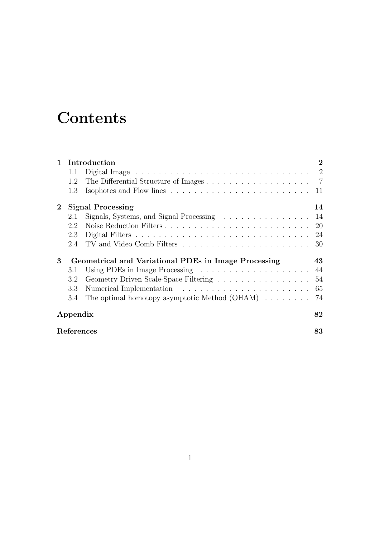# **Contents**

| $\mathbf{1}$ | Introduction                                         |                                                                                                | $\bf{2}$ |
|--------------|------------------------------------------------------|------------------------------------------------------------------------------------------------|----------|
|              | 1.1                                                  | Digital Image $\ldots \ldots \ldots \ldots \ldots \ldots \ldots \ldots \ldots \ldots \ldots 2$ |          |
|              | 1.2                                                  |                                                                                                |          |
|              | 1.3                                                  |                                                                                                | 11       |
| $\bf{2}$     | <b>Signal Processing</b>                             |                                                                                                | 14       |
|              | 2.1                                                  |                                                                                                | 14       |
|              | 2.2                                                  |                                                                                                | 20       |
|              | 2.3                                                  |                                                                                                |          |
|              | 2.4                                                  |                                                                                                | 30       |
| 3            | Geometrical and Variational PDEs in Image Processing |                                                                                                | 43       |
|              | 3.1                                                  |                                                                                                |          |
|              | 3.2                                                  |                                                                                                | 54       |
|              | 3.3                                                  |                                                                                                | 65       |
|              | 3.4                                                  | The optimal homotopy asymptotic Method $(OHAM) \dots \dots$                                    | 74       |
|              | 82<br>Appendix                                       |                                                                                                |          |
|              | References<br>83                                     |                                                                                                |          |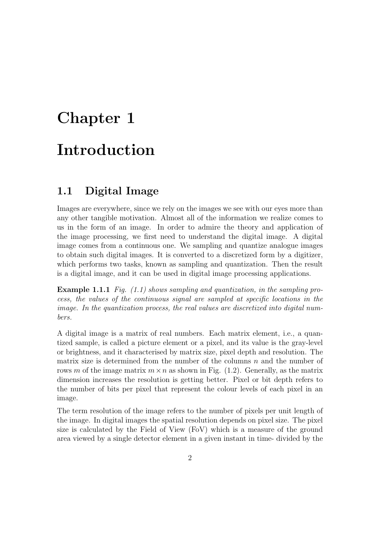# Chapter 1 Introduction

## 1.1 Digital Image

Images are everywhere, since we rely on the images we see with our eyes more than any other tangible motivation. Almost all of the information we realize comes to us in the form of an image. In order to admire the theory and application of the image processing, we first need to understand the digital image. A digital image comes from a continuous one. We sampling and quantize analogue images to obtain such digital images. It is converted to a discretized form by a digitizer, which performs two tasks, known as sampling and quantization. Then the result is a digital image, and it can be used in digital image processing applications.

Example 1.1.1 Fig. (1.1) shows sampling and quantization, in the sampling process, the values of the continuous signal are sampled at specific locations in the image. In the quantization process, the real values are discretized into digital numbers.

A digital image is a matrix of real numbers. Each matrix element, i.e., a quantized sample, is called a picture element or a pixel, and its value is the gray-level or brightness, and it characterised by matrix size, pixel depth and resolution. The matrix size is determined from the number of the columns  $n$  and the number of rows m of the image matrix  $m \times n$  as shown in Fig. (1.2). Generally, as the matrix dimension increases the resolution is getting better. Pixel or bit depth refers to the number of bits per pixel that represent the colour levels of each pixel in an image.

The term resolution of the image refers to the number of pixels per unit length of the image. In digital images the spatial resolution depends on pixel size. The pixel size is calculated by the Field of View (FoV) which is a measure of the ground area viewed by a single detector element in a given instant in time- divided by the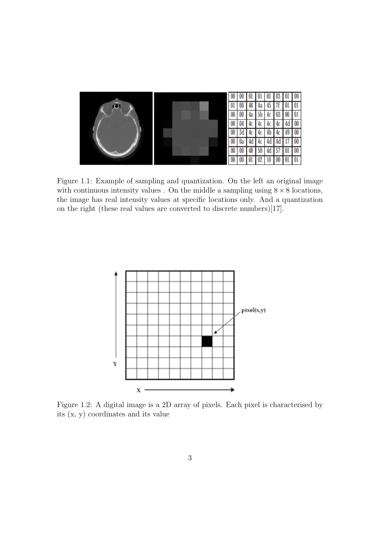

Figure 1.1: Example of sampling and quantization. On the left an original image with continuous intensity values . On the middle a sampling using  $8 \times 8$  locations, the image has real intensity values at specific locations only. And a quantization on the right (these real values are converted to discrete numbers)[17].



Figure 1.2: A digital image is a 2D array of pixels. Each pixel is characterised by its (x, y) coordinates and its value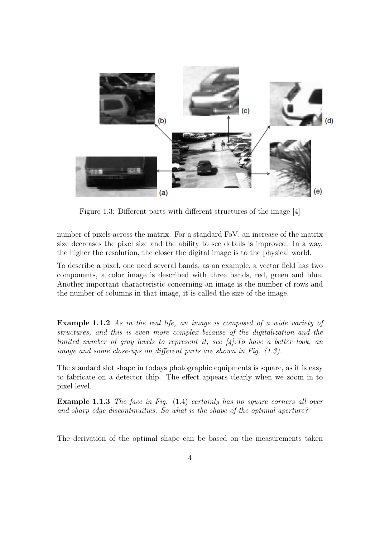

Figure 1.3: Different parts with different structures of the image [4]

number of pixels across the matrix. For a standard FoV, an increase of the matrix size decreases the pixel size and the ability to see details is improved. In a way, the higher the resolution, the closer the digital image is to the physical world.

To describe a pixel, one need several bands, as an example, a vector field has two components, a color image is described with three bands, red, green and blue. Another important characteristic concerning an image is the number of rows and the number of columns in that image, it is called the size of the image.

**Example 1.1.2** As in the real life, an image is composed of a wide variety of structures, and this is even more complex because of the digitalization and the limited number of gray levels to represent it, see [4].To have a better look, an image and some close-ups on different parts are shown in Fig. (1.3).

The standard slot shape in todays photographic equipments is square, as it is easy to fabricate on a detector chip. The effect appears clearly when we zoom in to pixel level.

Example 1.1.3 The face in Fig. (1.4) certainly has no square corners all over and sharp edge discontinuities. So what is the shape of the optimal aperture?

The derivation of the optimal shape can be based on the measurements taken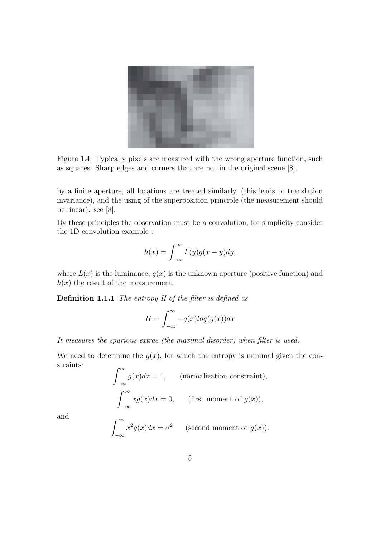

Figure 1.4: Typically pixels are measured with the wrong aperture function, such as squares. Sharp edges and corners that are not in the original scene [8].

by a finite aperture, all locations are treated similarly, (this leads to translation invariance), and the using of the superposition principle (the measurement should be linear). see [8].

By these principles the observation must be a convolution, for simplicity consider the 1D convolution example :

$$
h(x) = \int_{-\infty}^{\infty} L(y)g(x - y)dy,
$$

where  $L(x)$  is the luminance,  $g(x)$  is the unknown aperture (positive function) and  $h(x)$  the result of the measurement.

Definition 1.1.1 The entropy H of the filter is defined as

$$
H = \int_{-\infty}^{\infty} -g(x) \log(g(x)) dx
$$

It measures the spurious extras (the maximal disorder) when filter is used.

We need to determine the  $g(x)$ , for which the entropy is minimal given the constraints:  $r \infty$ 

$$
\int_{-\infty} g(x)dx = 1,
$$
 (normalization constraint),  

$$
\int_{-\infty}^{\infty} xg(x)dx = 0,
$$
 (first moment of  $g(x)$ ),

and

$$
\int_{-\infty}^{\infty} x^2 g(x) dx = \sigma^2 \qquad \text{(second moment of } g(x)\text{)}.
$$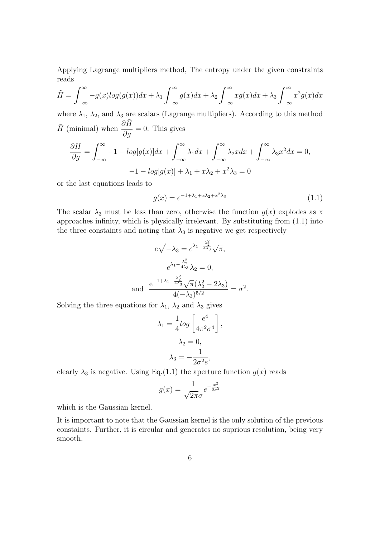Applying Lagrange multipliers method, The entropy under the given constraints reads

$$
\tilde{H} = \int_{-\infty}^{\infty} -g(x)log(g(x))dx + \lambda_1 \int_{-\infty}^{\infty} g(x)dx + \lambda_2 \int_{-\infty}^{\infty} xg(x)dx + \lambda_3 \int_{-\infty}^{\infty} x^2 g(x)dx
$$

where  $\lambda_1$ ,  $\lambda_2$ , and  $\lambda_3$  are scalars (Lagrange multipliers). According to this method  $\tilde{H}$  (minimal) when  $\frac{\partial \tilde{H}}{\partial \tilde{H}}$  $rac{\partial g}{\partial g} = 0$ . This gives

$$
\frac{\partial H}{\partial g} = \int_{-\infty}^{\infty} -1 - \log[g(x)]dx + \int_{-\infty}^{\infty} \lambda_1 dx + \int_{-\infty}^{\infty} \lambda_2 x dx + \int_{-\infty}^{\infty} \lambda_3 x^2 dx = 0,
$$
  

$$
-1 - \log[g(x)] + \lambda_1 + x\lambda_2 + x^2\lambda_3 = 0
$$

or the last equations leads to

$$
g(x) = e^{-1 + \lambda_1 + x\lambda_2 + x^2\lambda_3} \tag{1.1}
$$

The scalar  $\lambda_3$  must be less than zero, otherwise the function  $g(x)$  explodes as x approaches infinity, which is physically irrelevant. By substituting from (1.1) into the three constaints and noting that  $\lambda_3$  is negative we get respectively

$$
e\sqrt{-\lambda_3} = e^{\lambda_1 - \frac{\lambda_2^2}{4\lambda_3}} \sqrt{\pi},
$$

$$
e^{\lambda_1 - \frac{\lambda_2^2}{4\lambda_3}} \lambda_2 = 0,
$$
and 
$$
\frac{e^{-1 + \lambda_1 - \frac{\lambda_2^2}{4\lambda_3}} \sqrt{\pi} (\lambda_2^2 - 2\lambda_3)}{4(-\lambda_3)^{5/2}} = \sigma^2.
$$

Solving the three equations for  $\lambda_1$ ,  $\lambda_2$  and  $\lambda_3$  gives

$$
\lambda_1 = \frac{1}{4} \log \left[ \frac{e^4}{4\pi^2 \sigma^4} \right],
$$

$$
\lambda_2 = 0,
$$

$$
\lambda_3 = -\frac{1}{2\sigma^2 e},
$$

clearly  $\lambda_3$  is negative. Using Eq.(1.1) the aperture function  $g(x)$  reads

$$
g(x) = \frac{1}{\sqrt{2\pi}\sigma}e^{-\frac{x^2}{2\sigma^2}}
$$

which is the Gaussian kernel.

It is important to note that the Gaussian kernel is the only solution of the previous constaints. Further, it is circular and generates no suprious resolution, being very smooth.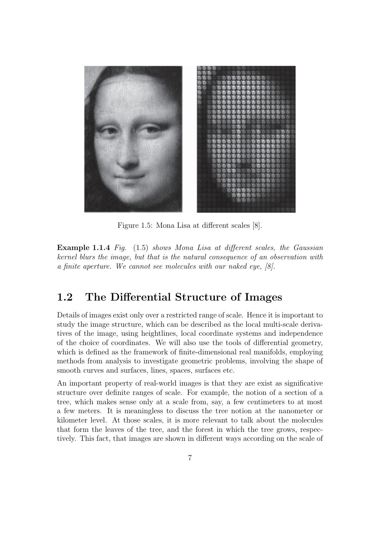

Figure 1.5: Mona Lisa at different scales [8].

Example 1.1.4 Fig. (1.5) shows Mona Lisa at different scales, the Gaussian kernel blurs the image, but that is the natural consequence of an observation with a finite aperture. We cannot see molecules with our naked eye, [8].

## 1.2 The Differential Structure of Images

Details of images exist only over a restricted range of scale. Hence it is important to study the image structure, which can be described as the local multi-scale derivatives of the image, using heightlines, local coordinate systems and independence of the choice of coordinates. We will also use the tools of differential geometry, which is defined as the framework of finite-dimensional real manifolds, employing methods from analysis to investigate geometric problems, involving the shape of smooth curves and surfaces, lines, spaces, surfaces etc.

An important property of real-world images is that they are exist as significative structure over definite ranges of scale. For example, the notion of a section of a tree, which makes sense only at a scale from, say, a few centimeters to at most a few meters. It is meaningless to discuss the tree notion at the nanometer or kilometer level. At those scales, it is more relevant to talk about the molecules that form the leaves of the tree, and the forest in which the tree grows, respectively. This fact, that images are shown in different ways according on the scale of